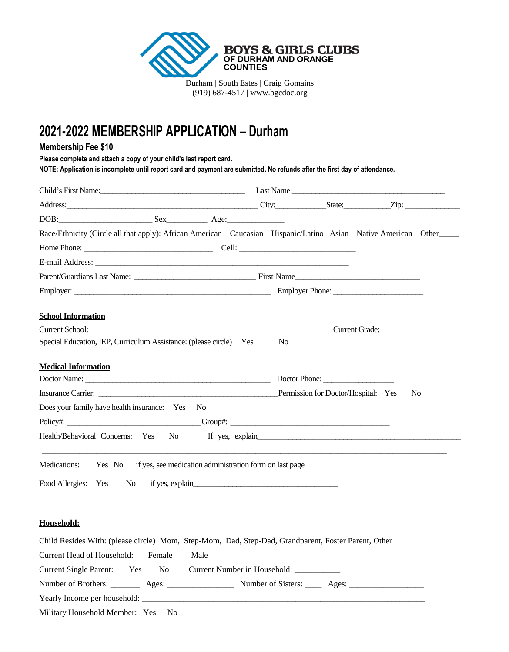

#### (919) 687-4517 | www.bgcdoc.org

# **2021-2022 MEMBERSHIP APPLICATION – Durham**

### **Membership Fee \$10**

**Please complete and attach a copy of your child's last report card.** 

**NOTE: Application is incomplete until report card and payment are submitted. No refunds after the first day of attendance.** 

| Child's First Name: Child's First Name: Child's First Name: Child's First Name: Child's First Name:            |                                     |                 |
|----------------------------------------------------------------------------------------------------------------|-------------------------------------|-----------------|
|                                                                                                                |                                     |                 |
|                                                                                                                |                                     |                 |
| Race/Ethnicity (Circle all that apply): African American Caucasian Hispanic/Latino Asian Native American Other |                                     |                 |
|                                                                                                                |                                     |                 |
|                                                                                                                |                                     |                 |
| Parent/Guardians Last Name: First Name First Name                                                              |                                     |                 |
| Employer: Employer Phone:                                                                                      |                                     |                 |
|                                                                                                                |                                     |                 |
| <b>School Information</b>                                                                                      |                                     |                 |
|                                                                                                                |                                     |                 |
| Special Education, IEP, Curriculum Assistance: (please circle) Yes                                             | N <sub>0</sub>                      |                 |
| <b>Medical Information</b>                                                                                     |                                     |                 |
| Doctor Name: <u>Doctor Phone:</u> Doctor Phone: <u>Doctor Phone:</u> 2004                                      |                                     |                 |
|                                                                                                                | Permission for Doctor/Hospital: Yes | N <sub>0</sub>  |
| Does your family have health insurance: Yes No                                                                 |                                     |                 |
|                                                                                                                |                                     |                 |
| Health/Behavioral Concerns: Yes<br>N <sub>o</sub>                                                              |                                     | If yes, explain |
|                                                                                                                |                                     |                 |
| Medications: Yes No if yes, see medication administration form on last page                                    |                                     |                 |
|                                                                                                                |                                     |                 |
| Food Allergies: Yes<br>No No                                                                                   |                                     |                 |
|                                                                                                                |                                     |                 |
| Household:                                                                                                     |                                     |                 |
|                                                                                                                |                                     |                 |
| Child Resides With: (please circle) Mom, Step-Mom, Dad, Step-Dad, Grandparent, Foster Parent, Other            |                                     |                 |
| Current Head of Household:<br>Female<br>Male                                                                   |                                     |                 |
| <b>Current Single Parent:</b><br>Current Number in Household: ____________<br>Yes<br>N <sub>o</sub>            |                                     |                 |

| Number of Brothers: | Ages: | Number of Sisters: | Ages |  |
|---------------------|-------|--------------------|------|--|
|---------------------|-------|--------------------|------|--|

Yearly Income per household:

Military Household Member: Yes No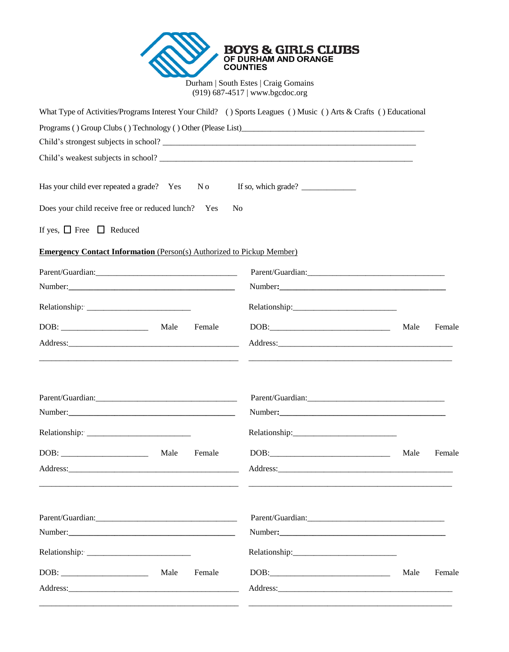

| What Type of Activities/Programs Interest Your Child? () Sports Leagues () Music () Arts & Crafts () Educational |                                                                                                                                                                                                                                                                                                                                                                                                                                                |      |        |
|------------------------------------------------------------------------------------------------------------------|------------------------------------------------------------------------------------------------------------------------------------------------------------------------------------------------------------------------------------------------------------------------------------------------------------------------------------------------------------------------------------------------------------------------------------------------|------|--------|
|                                                                                                                  |                                                                                                                                                                                                                                                                                                                                                                                                                                                |      |        |
|                                                                                                                  |                                                                                                                                                                                                                                                                                                                                                                                                                                                |      |        |
|                                                                                                                  |                                                                                                                                                                                                                                                                                                                                                                                                                                                |      |        |
| Has your child ever repeated a grade? Yes<br>N o                                                                 | If so, which grade? $\frac{1}{\sqrt{1-\frac{1}{2}}}\left  \frac{1}{\sqrt{1-\frac{1}{2}}}\right $                                                                                                                                                                                                                                                                                                                                               |      |        |
| Does your child receive free or reduced lunch? Yes                                                               | N <sub>0</sub>                                                                                                                                                                                                                                                                                                                                                                                                                                 |      |        |
| If yes, $\Box$ Free $\Box$ Reduced                                                                               |                                                                                                                                                                                                                                                                                                                                                                                                                                                |      |        |
| <b>Emergency Contact Information</b> (Person(s) Authorized to Pickup Member)                                     |                                                                                                                                                                                                                                                                                                                                                                                                                                                |      |        |
|                                                                                                                  | Parent/Guardian: Parent All and Parent All and Parent All and Parent All and Parent All and Parent All and Par                                                                                                                                                                                                                                                                                                                                 |      |        |
|                                                                                                                  |                                                                                                                                                                                                                                                                                                                                                                                                                                                |      |        |
|                                                                                                                  |                                                                                                                                                                                                                                                                                                                                                                                                                                                |      |        |
| Female<br>Male                                                                                                   | $\text{DOB:}\qquad \qquad \overbrace{\hspace{15em}}$                                                                                                                                                                                                                                                                                                                                                                                           | Male | Female |
|                                                                                                                  |                                                                                                                                                                                                                                                                                                                                                                                                                                                |      |        |
|                                                                                                                  |                                                                                                                                                                                                                                                                                                                                                                                                                                                |      |        |
|                                                                                                                  |                                                                                                                                                                                                                                                                                                                                                                                                                                                |      |        |
|                                                                                                                  |                                                                                                                                                                                                                                                                                                                                                                                                                                                |      |        |
|                                                                                                                  |                                                                                                                                                                                                                                                                                                                                                                                                                                                |      |        |
| Male<br>Female                                                                                                   | $DOB: \begin{tabular}{ c c c } \hline \multicolumn{3}{ c }{\textbf{DOB}}: & \multicolumn{3}{ c }{\textbf{OOB}}: \\ \hline \multicolumn{3}{ c }{\textbf{OOB}}: & \multicolumn{3}{ c }{\textbf{OOB}}: \\ \hline \multicolumn{3}{ c }{\textbf{OOB}}: & \multicolumn{3}{ c }{\textbf{OOB}}: \\ \hline \multicolumn{3}{ c }{\textbf{OOB}}: & \multicolumn{3}{ c }{\textbf{OOB}}: \\ \hline \multicolumn{3}{ c }{\textbf{OOB}}: & \multicolumn{3}{ $ | Male | Female |
|                                                                                                                  |                                                                                                                                                                                                                                                                                                                                                                                                                                                |      |        |
|                                                                                                                  |                                                                                                                                                                                                                                                                                                                                                                                                                                                |      |        |
|                                                                                                                  |                                                                                                                                                                                                                                                                                                                                                                                                                                                |      |        |
|                                                                                                                  |                                                                                                                                                                                                                                                                                                                                                                                                                                                |      |        |
| Male<br>Female                                                                                                   | $\text{DOB:}\qquad \qquad \overbrace{\hspace{2.5cm}}$                                                                                                                                                                                                                                                                                                                                                                                          | Male | Female |
|                                                                                                                  |                                                                                                                                                                                                                                                                                                                                                                                                                                                |      |        |
|                                                                                                                  |                                                                                                                                                                                                                                                                                                                                                                                                                                                |      |        |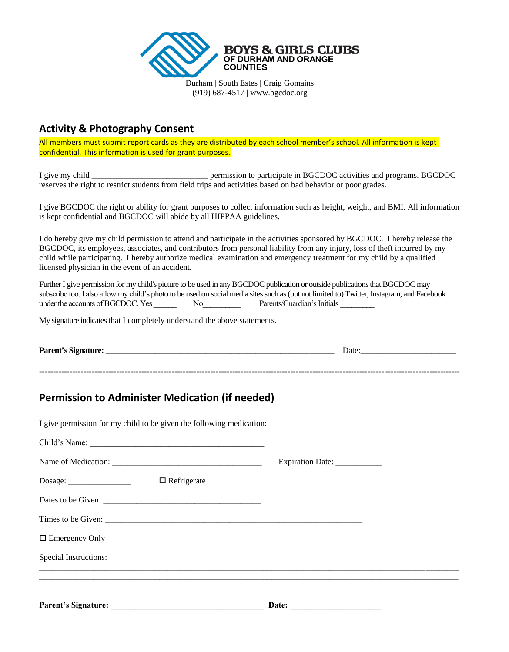

## **Activity & Photography Consent**

All members must submit report cards as they are distributed by each school member's school. All information is kept confidential. This information is used for grant purposes.

I give my child \_\_\_\_\_\_\_\_\_\_\_\_\_\_\_\_\_\_\_\_\_\_\_\_\_\_\_\_ permission to participate in BGCDOC activities and programs. BGCDOC reserves the right to restrict students from field trips and activities based on bad behavior or poor grades.

I give BGCDOC the right or ability for grant purposes to collect information such as height, weight, and BMI. All information is kept confidential and BGCDOC will abide by all HIPPAA guidelines.

I do hereby give my child permission to attend and participate in the activities sponsored by BGCDOC. I hereby release the BGCDOC, its employees, associates, and contributors from personal liability from any injury, loss of theft incurred by my child while participating. I hereby authorize medical examination and emergency treatment for my child by a qualified licensed physician in the event of an accident.

Further I give permission for my child's picture to be used in any BGCDOC publication or outside publications that BGCDOC may subscribe too. I also allow my child's photo to be used on social media sites such as (but not limited to) Twitter, Instagram, and Facebook under the accounts of BGCDOC. Yes No

My signature indicates that I completely understand the above statements.

#### **Parent's Signature:** \_\_\_\_\_\_\_\_\_\_\_\_\_\_\_\_\_\_\_\_\_\_\_\_\_\_\_\_\_\_\_\_\_\_\_\_\_\_\_\_\_\_\_\_\_\_\_\_\_\_\_\_\_\_\_ Date:\_\_\_\_\_\_\_\_\_\_\_\_\_\_\_\_\_\_\_\_\_\_\_

**--------------------------------------------------------------------------------------------------------------------------------------------------------**

# **Permission to Administer Medication (if needed)**

I give permission for my child to be given the following medication: Child's Name: Name of Medication: \_\_\_\_\_\_\_\_\_\_\_\_\_\_\_\_\_\_\_\_\_\_\_\_\_\_\_\_\_\_\_\_\_\_\_\_ Expiration Date: \_\_\_\_\_\_\_\_\_\_\_ Dosage: \_\_\_\_\_\_\_\_\_\_\_\_\_\_\_ Refrigerate Dates to be Given: Times to be Given: □ Emergency Only Special Instructions: \_\_\_\_\_\_\_\_\_\_\_\_\_\_\_\_\_\_\_\_\_\_\_\_\_\_\_\_\_\_\_\_\_\_\_\_\_\_\_\_\_\_\_\_\_\_\_\_\_\_\_\_\_\_\_\_\_\_\_\_\_\_\_\_\_\_\_\_\_\_\_\_\_\_\_\_\_\_\_\_\_\_\_\_\_\_\_\_\_\_\_\_\_\_\_\_\_\_\_\_\_ \_\_\_\_\_\_\_\_\_\_\_\_\_\_\_\_\_\_\_\_\_\_\_\_\_\_\_\_\_\_\_\_\_\_\_\_\_\_\_\_\_\_\_\_\_\_\_\_\_\_\_\_\_\_\_\_\_\_\_\_\_\_\_\_\_\_\_\_\_\_\_\_\_\_\_\_\_\_\_\_\_\_\_\_\_\_\_\_\_\_\_\_\_\_\_\_\_\_\_\_\_

Parent's Signature: **Date: Date:**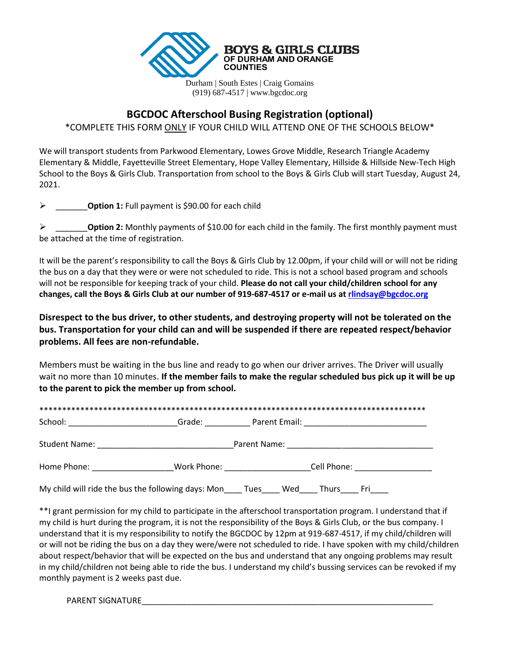

# **BGCDOC Afterschool Busing Registration (optional)**

\*COMPLETE THIS FORM ONLY IF YOUR CHILD WILL ATTEND ONE OF THE SCHOOLS BELOW\*

We will transport students from Parkwood Elementary, Lowes Grove Middle, Research Triangle Academy Elementary & Middle, Fayetteville Street Elementary, Hope Valley Elementary, Hillside & Hillside New-Tech High School to the Boys & Girls Club. Transportation from school to the Boys & Girls Club will start Tuesday, August 24, 2021.

\_\_\_\_\_\_\_**Option 1:** Full payment is \$90.00 for each child

 \_\_\_\_\_\_\_**Option 2:** Monthly payments of \$10.00 for each child in the family. The first monthly payment must be attached at the time of registration.

It will be the parent's responsibility to call the Boys & Girls Club by 12.00pm, if your child will or will not be riding the bus on a day that they were or were not scheduled to ride. This is not a school based program and schools will not be responsible for keeping track of your child. **Please do not call your child/children school for any changes, call the Boys & Girls Club at our number of 919-687-4517 or e-mail us at [rlindsay@bgcdoc.org](mailto:rlindsay@bgcdoc.org)**

**Disrespect to the bus driver, to other students, and destroying property will not be tolerated on the bus. Transportation for your child can and will be suspended if there are repeated respect/behavior problems. All fees are non-refundable.** 

Members must be waiting in the bus line and ready to go when our driver arrives. The Driver will usually wait no more than 10 minutes. **If the member fails to make the regular scheduled bus pick up it will be up to the parent to pick the member up from school.** 

|                                                                                                                                                                                                                                | Grade: when the control of the control of the control of the control of the control of the control of the control of the control of the control of the control of the control of the control of the control of the control of |                                                                                  |  |  |  |
|--------------------------------------------------------------------------------------------------------------------------------------------------------------------------------------------------------------------------------|-------------------------------------------------------------------------------------------------------------------------------------------------------------------------------------------------------------------------------|----------------------------------------------------------------------------------|--|--|--|
|                                                                                                                                                                                                                                |                                                                                                                                                                                                                               |                                                                                  |  |  |  |
| Home Phone: The Contract of the Contract of the Contract of the Contract of the Contract of the Contract of the Contract of the Contract of the Contract of the Contract of the Contract of the Contract of the Contract of th |                                                                                                                                                                                                                               | Work Phone: ___________________________Cell Phone: _____________________________ |  |  |  |
| My child will ride the bus the following days: Mon Tues Wed Thurs Fri                                                                                                                                                          |                                                                                                                                                                                                                               |                                                                                  |  |  |  |

\*\*I grant permission for my child to participate in the afterschool transportation program. I understand that if my child is hurt during the program, it is not the responsibility of the Boys & Girls Club, or the bus company. I understand that it is my responsibility to notify the BGCDOC by 12pm at 919-687-4517, if my child/children will or will not be riding the bus on a day they were/were not scheduled to ride. I have spoken with my child/children about respect/behavior that will be expected on the bus and understand that any ongoing problems may result in my child/children not being able to ride the bus. I understand my child's bussing services can be revoked if my monthly payment is 2 weeks past due.

PARENT SIGNATURE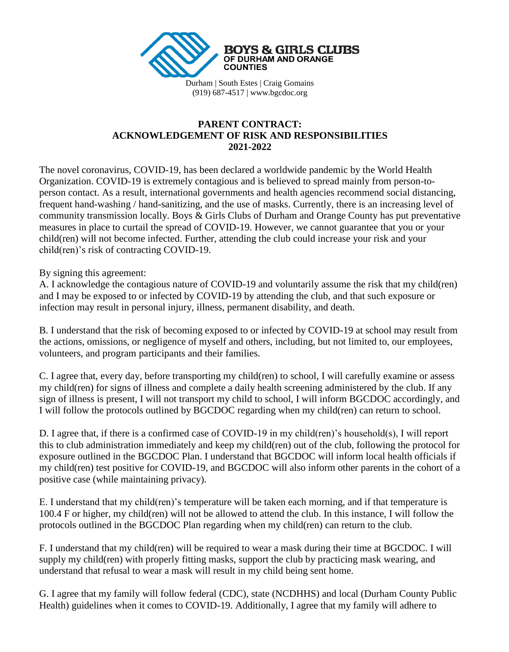

## **PARENT CONTRACT: ACKNOWLEDGEMENT OF RISK AND RESPONSIBILITIES 2021-2022**

The novel coronavirus, COVID-19, has been declared a worldwide pandemic by the World Health Organization. COVID-19 is extremely contagious and is believed to spread mainly from person-toperson contact. As a result, international governments and health agencies recommend social distancing, frequent hand-washing / hand-sanitizing, and the use of masks. Currently, there is an increasing level of community transmission locally. Boys & Girls Clubs of Durham and Orange County has put preventative measures in place to curtail the spread of COVID-19. However, we cannot guarantee that you or your child(ren) will not become infected. Further, attending the club could increase your risk and your child(ren)'s risk of contracting COVID-19.

By signing this agreement:

A. I acknowledge the contagious nature of COVID-19 and voluntarily assume the risk that my child(ren) and I may be exposed to or infected by COVID-19 by attending the club, and that such exposure or infection may result in personal injury, illness, permanent disability, and death.

B. I understand that the risk of becoming exposed to or infected by COVID-19 at school may result from the actions, omissions, or negligence of myself and others, including, but not limited to, our employees, volunteers, and program participants and their families.

C. I agree that, every day, before transporting my child(ren) to school, I will carefully examine or assess my child(ren) for signs of illness and complete a daily health screening administered by the club. If any sign of illness is present, I will not transport my child to school, I will inform BGCDOC accordingly, and I will follow the protocols outlined by BGCDOC regarding when my child(ren) can return to school.

D. I agree that, if there is a confirmed case of COVID-19 in my child(ren)'s household(s), I will report this to club administration immediately and keep my child(ren) out of the club, following the protocol for exposure outlined in the BGCDOC Plan. I understand that BGCDOC will inform local health officials if my child(ren) test positive for COVID-19, and BGCDOC will also inform other parents in the cohort of a positive case (while maintaining privacy).

E. I understand that my child(ren)'s temperature will be taken each morning, and if that temperature is 100.4 F or higher, my child(ren) will not be allowed to attend the club. In this instance, I will follow the protocols outlined in the BGCDOC Plan regarding when my child(ren) can return to the club.

F. I understand that my child(ren) will be required to wear a mask during their time at BGCDOC. I will supply my child(ren) with properly fitting masks, support the club by practicing mask wearing, and understand that refusal to wear a mask will result in my child being sent home.

G. I agree that my family will follow federal (CDC), state (NCDHHS) and local (Durham County Public Health) guidelines when it comes to COVID-19. Additionally, I agree that my family will adhere to